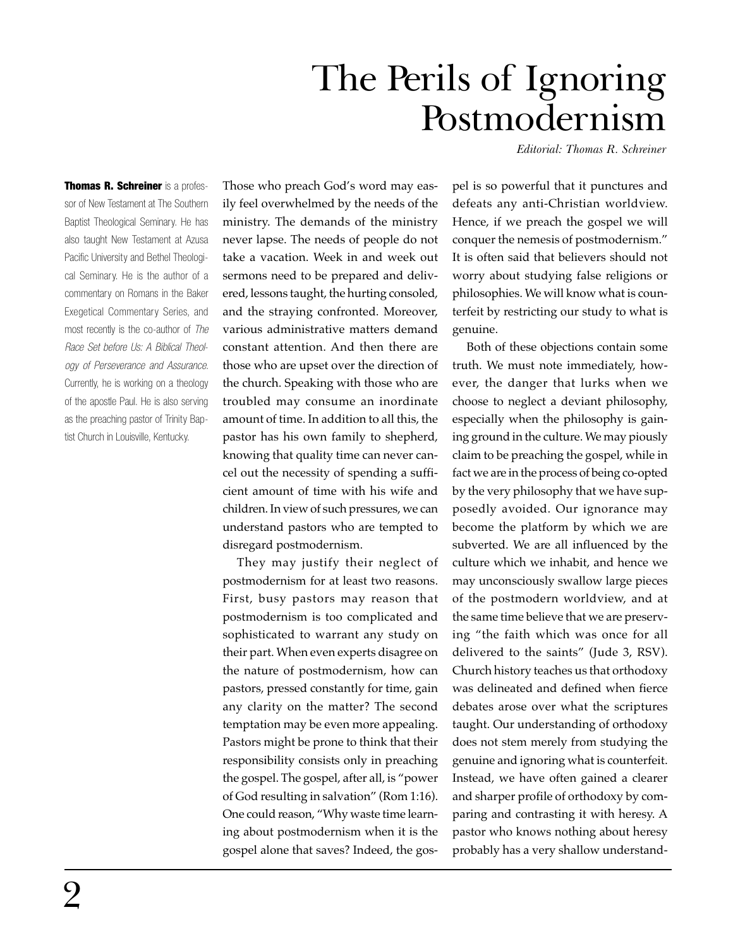## The Perils of Ignoring Postmodernism

*Editorial: Thomas R. Schreiner*

Thomas R. Schreiner is a professor of New Testament at The Southern Baptist Theological Seminary. He has also taught New Testament at Azusa Pacific University and Bethel Theological Seminary. He is the author of a commentary on Romans in the Baker Exegetical Commentary Series, and most recently is the co-author of *The Race Set before Us: A Biblical Theology of Perseverance and Assurance.* Currently, he is working on a theology of the apostle Paul. He is also serving as the preaching pastor of Trinity Baptist Church in Louisville, Kentucky.

Those who preach God's word may easily feel overwhelmed by the needs of the ministry. The demands of the ministry never lapse. The needs of people do not take a vacation. Week in and week out sermons need to be prepared and delivered, lessons taught, the hurting consoled, and the straying confronted. Moreover, various administrative matters demand constant attention. And then there are those who are upset over the direction of the church. Speaking with those who are troubled may consume an inordinate amount of time. In addition to all this, the pastor has his own family to shepherd, knowing that quality time can never cancel out the necessity of spending a sufficient amount of time with his wife and children. In view of such pressures, we can understand pastors who are tempted to disregard postmodernism.

They may justify their neglect of postmodernism for at least two reasons. First, busy pastors may reason that postmodernism is too complicated and sophisticated to warrant any study on their part. When even experts disagree on the nature of postmodernism, how can pastors, pressed constantly for time, gain any clarity on the matter? The second temptation may be even more appealing. Pastors might be prone to think that their responsibility consists only in preaching the gospel. The gospel, after all, is "power of God resulting in salvation" (Rom 1:16). One could reason, "Why waste time learning about postmodernism when it is the gospel alone that saves? Indeed, the gospel is so powerful that it punctures and defeats any anti-Christian worldview. Hence, if we preach the gospel we will conquer the nemesis of postmodernism." It is often said that believers should not worry about studying false religions or philosophies. We will know what is counterfeit by restricting our study to what is genuine.

Both of these objections contain some truth. We must note immediately, however, the danger that lurks when we choose to neglect a deviant philosophy, especially when the philosophy is gaining ground in the culture. We may piously claim to be preaching the gospel, while in fact we are in the process of being co-opted by the very philosophy that we have supposedly avoided. Our ignorance may become the platform by which we are subverted. We are all influenced by the culture which we inhabit, and hence we may unconsciously swallow large pieces of the postmodern worldview, and at the same time believe that we are preserving "the faith which was once for all delivered to the saints" (Jude 3, RSV). Church history teaches us that orthodoxy was delineated and defined when fierce debates arose over what the scriptures taught. Our understanding of orthodoxy does not stem merely from studying the genuine and ignoring what is counterfeit. Instead, we have often gained a clearer and sharper profile of orthodoxy by comparing and contrasting it with heresy. A pastor who knows nothing about heresy probably has a very shallow understand